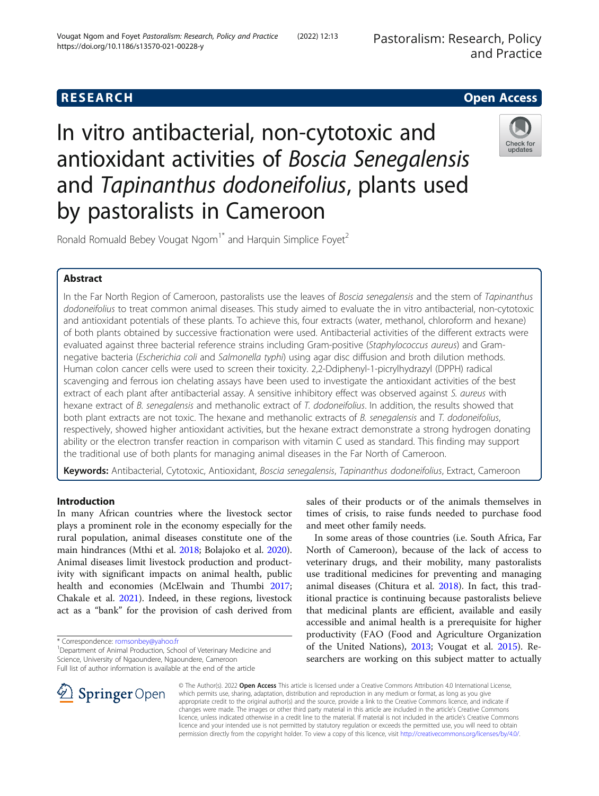Pastoralism: Research, Policy and Practice

# **RESEARCH CHE Open Access**

In vitro antibacterial, non-cytotoxic and antioxidant activities of Boscia Senegalensis and Tapinanthus dodoneifolius, plants used by pastoralists in Cameroon



Ronald Romuald Bebey Vougat Ngom<sup>1\*</sup> and Harquin Simplice Foyet<sup>2</sup>

# Abstract

In the Far North Region of Cameroon, pastoralists use the leaves of Boscia senegalensis and the stem of Tapinanthus dodoneifolius to treat common animal diseases. This study aimed to evaluate the in vitro antibacterial, non-cytotoxic and antioxidant potentials of these plants. To achieve this, four extracts (water, methanol, chloroform and hexane) of both plants obtained by successive fractionation were used. Antibacterial activities of the different extracts were evaluated against three bacterial reference strains including Gram-positive (Staphylococcus aureus) and Gramnegative bacteria (Escherichia coli and Salmonella typhi) using agar disc diffusion and broth dilution methods. Human colon cancer cells were used to screen their toxicity. 2,2-Ddiphenyl-1-picrylhydrazyl (DPPH) radical scavenging and ferrous ion chelating assays have been used to investigate the antioxidant activities of the best extract of each plant after antibacterial assay. A sensitive inhibitory effect was observed against S. aureus with hexane extract of B. senegalensis and methanolic extract of T. dodoneifolius. In addition, the results showed that both plant extracts are not toxic. The hexane and methanolic extracts of B. senegalensis and T. dodoneifolius, respectively, showed higher antioxidant activities, but the hexane extract demonstrate a strong hydrogen donating ability or the electron transfer reaction in comparison with vitamin C used as standard. This finding may support the traditional use of both plants for managing animal diseases in the Far North of Cameroon.

Keywords: Antibacterial, Cytotoxic, Antioxidant, Boscia senegalensis, Tapinanthus dodoneifolius, Extract, Cameroon

## Introduction

In many African countries where the livestock sector plays a prominent role in the economy especially for the rural population, animal diseases constitute one of the main hindrances (Mthi et al. [2018](#page-7-0); Bolajoko et al. [2020](#page-6-0)). Animal diseases limit livestock production and productivity with significant impacts on animal health, public health and economies (McElwain and Thumbi [2017](#page-7-0); Chakale et al. [2021](#page-6-0)). Indeed, in these regions, livestock act as a "bank" for the provision of cash derived from

\* Correspondence: [romsonbey@yahoo.fr](mailto:romsonbey@yahoo.fr) <sup>1</sup>

sales of their products or of the animals themselves in times of crisis, to raise funds needed to purchase food and meet other family needs.

In some areas of those countries (i.e. South Africa, Far North of Cameroon), because of the lack of access to veterinary drugs, and their mobility, many pastoralists use traditional medicines for preventing and managing animal diseases (Chitura et al. [2018\)](#page-6-0). In fact, this traditional practice is continuing because pastoralists believe that medicinal plants are efficient, available and easily accessible and animal health is a prerequisite for higher productivity (FAO (Food and Agriculture Organization of the United Nations), [2013;](#page-6-0) Vougat et al. [2015\)](#page-7-0). Researchers are working on this subject matter to actually



© The Author(s). 2022 Open Access This article is licensed under a Creative Commons Attribution 4.0 International License, which permits use, sharing, adaptation, distribution and reproduction in any medium or format, as long as you give appropriate credit to the original author(s) and the source, provide a link to the Creative Commons licence, and indicate if changes were made. The images or other third party material in this article are included in the article's Creative Commons licence, unless indicated otherwise in a credit line to the material. If material is not included in the article's Creative Commons licence and your intended use is not permitted by statutory regulation or exceeds the permitted use, you will need to obtain permission directly from the copyright holder. To view a copy of this licence, visit <http://creativecommons.org/licenses/by/4.0/>.

<sup>&</sup>lt;sup>1</sup> Department of Animal Production, School of Veterinary Medicine and Science, University of Ngaoundere, Ngaoundere, Cameroon Full list of author information is available at the end of the article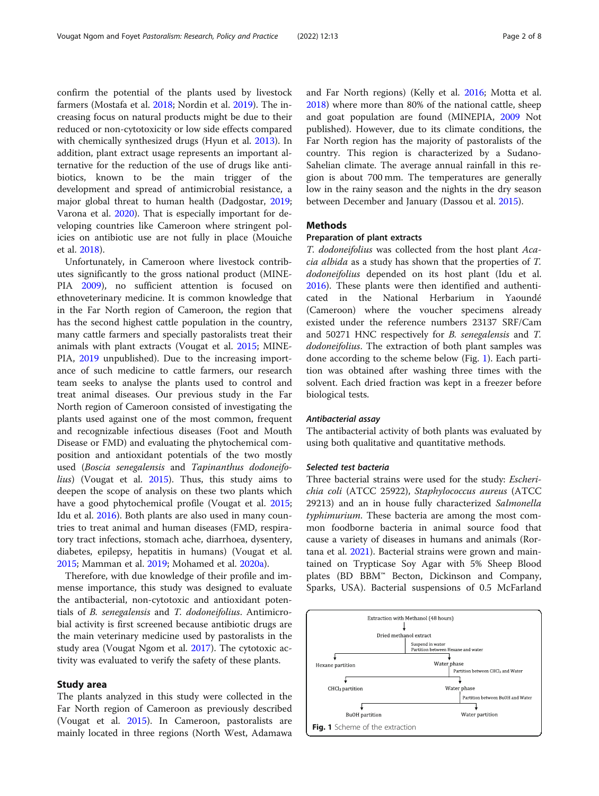confirm the potential of the plants used by livestock farmers (Mostafa et al. [2018;](#page-7-0) Nordin et al. [2019](#page-7-0)). The increasing focus on natural products might be due to their reduced or non-cytotoxicity or low side effects compared with chemically synthesized drugs (Hyun et al. [2013](#page-6-0)). In addition, plant extract usage represents an important alternative for the reduction of the use of drugs like antibiotics, known to be the main trigger of the development and spread of antimicrobial resistance, a major global threat to human health (Dadgostar, [2019](#page-6-0); Varona et al. [2020\)](#page-7-0). That is especially important for developing countries like Cameroon where stringent policies on antibiotic use are not fully in place (Mouiche et al. [2018\)](#page-7-0).

Unfortunately, in Cameroon where livestock contributes significantly to the gross national product (MINE-PIA [2009\)](#page-7-0), no sufficient attention is focused on ethnoveterinary medicine. It is common knowledge that in the Far North region of Cameroon, the region that has the second highest cattle population in the country, many cattle farmers and specially pastoralists treat their animals with plant extracts (Vougat et al. [2015](#page-7-0); MINE-PIA, [2019](#page-7-0) unpublished). Due to the increasing importance of such medicine to cattle farmers, our research team seeks to analyse the plants used to control and treat animal diseases. Our previous study in the Far North region of Cameroon consisted of investigating the plants used against one of the most common, frequent and recognizable infectious diseases (Foot and Mouth Disease or FMD) and evaluating the phytochemical composition and antioxidant potentials of the two mostly used (Boscia senegalensis and Tapinanthus dodoneifolius) (Vougat et al. [2015\)](#page-7-0). Thus, this study aims to deepen the scope of analysis on these two plants which have a good phytochemical profile (Vougat et al. [2015](#page-7-0); Idu et al. [2016\)](#page-6-0). Both plants are also used in many countries to treat animal and human diseases (FMD, respiratory tract infections, stomach ache, diarrhoea, dysentery, diabetes, epilepsy, hepatitis in humans) (Vougat et al. [2015](#page-7-0); Mamman et al. [2019](#page-7-0); Mohamed et al. [2020a\)](#page-7-0).

Therefore, with due knowledge of their profile and immense importance, this study was designed to evaluate the antibacterial, non-cytotoxic and antioxidant potentials of B. senegalensis and T. dodoneifolius. Antimicrobial activity is first screened because antibiotic drugs are the main veterinary medicine used by pastoralists in the study area (Vougat Ngom et al. [2017\)](#page-7-0). The cytotoxic activity was evaluated to verify the safety of these plants.

#### Study area

The plants analyzed in this study were collected in the Far North region of Cameroon as previously described (Vougat et al. [2015](#page-7-0)). In Cameroon, pastoralists are mainly located in three regions (North West, Adamawa and Far North regions) (Kelly et al. [2016](#page-6-0); Motta et al. [2018](#page-7-0)) where more than 80% of the national cattle, sheep and goat population are found (MINEPIA, [2009](#page-7-0) Not published). However, due to its climate conditions, the Far North region has the majority of pastoralists of the country. This region is characterized by a Sudano-Sahelian climate. The average annual rainfall in this region is about 700 mm. The temperatures are generally low in the rainy season and the nights in the dry season between December and January (Dassou et al. [2015\)](#page-6-0).

#### Methods

#### Preparation of plant extracts

T. dodoneifolius was collected from the host plant Acacia albida as a study has shown that the properties of T. dodoneifolius depended on its host plant (Idu et al. [2016](#page-6-0)). These plants were then identified and authenticated in the National Herbarium in Yaoundé (Cameroon) where the voucher specimens already existed under the reference numbers 23137 SRF/Cam and 50271 HNC respectively for B. senegalensis and T. dodoneifolius. The extraction of both plant samples was done according to the scheme below (Fig. 1). Each partition was obtained after washing three times with the solvent. Each dried fraction was kept in a freezer before biological tests.

#### Antibacterial assay

The antibacterial activity of both plants was evaluated by using both qualitative and quantitative methods.

#### Selected test bacteria

Three bacterial strains were used for the study: Escherichia coli (ATCC 25922), Staphylococcus aureus (ATCC 29213) and an in house fully characterized Salmonella typhimurium. These bacteria are among the most common foodborne bacteria in animal source food that cause a variety of diseases in humans and animals (Rortana et al. [2021\)](#page-7-0). Bacterial strains were grown and maintained on Trypticase Soy Agar with 5% Sheep Blood plates (BD BBM™ Becton, Dickinson and Company, Sparks, USA). Bacterial suspensions of 0.5 McFarland

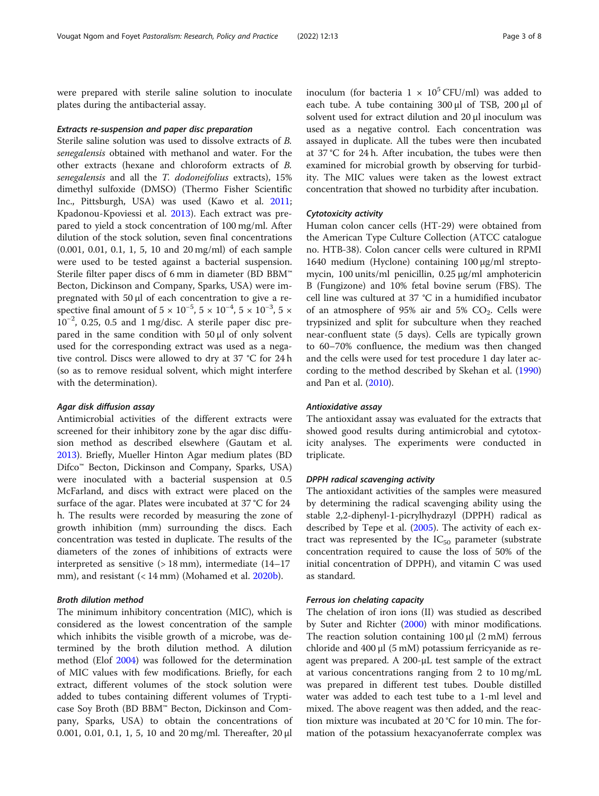were prepared with sterile saline solution to inoculate plates during the antibacterial assay.

#### Extracts re-suspension and paper disc preparation

Sterile saline solution was used to dissolve extracts of B. senegalensis obtained with methanol and water. For the other extracts (hexane and chloroform extracts of B. senegalensis and all the T. dodoneifolius extracts), 15% dimethyl sulfoxide (DMSO) (Thermo Fisher Scientific Inc., Pittsburgh, USA) was used (Kawo et al. [2011](#page-6-0); Kpadonou-Kpoviessi et al. [2013](#page-7-0)). Each extract was prepared to yield a stock concentration of 100 mg/ml. After dilution of the stock solution, seven final concentrations (0.001, 0.01, 0.1, 1, 5, 10 and 20 mg/ml) of each sample were used to be tested against a bacterial suspension. Sterile filter paper discs of 6 mm in diameter (BD BBM™ Becton, Dickinson and Company, Sparks, USA) were impregnated with 50 μl of each concentration to give a respective final amount of  $5 \times 10^{-5}$ ,  $5 \times 10^{-4}$ ,  $5 \times 10^{-3}$ ,  $5 \times 10^{-3}$ 10−<sup>2</sup> , 0.25, 0.5 and 1 mg/disc. A sterile paper disc prepared in the same condition with 50 μl of only solvent used for the corresponding extract was used as a negative control. Discs were allowed to dry at 37 °C for 24 h (so as to remove residual solvent, which might interfere with the determination).

#### Agar disk diffusion assay

Antimicrobial activities of the different extracts were screened for their inhibitory zone by the agar disc diffusion method as described elsewhere (Gautam et al. [2013](#page-6-0)). Briefly, Mueller Hinton Agar medium plates (BD Difco<sup>™</sup> Becton, Dickinson and Company, Sparks, USA) were inoculated with a bacterial suspension at 0.5 McFarland, and discs with extract were placed on the surface of the agar. Plates were incubated at 37 °C for 24 h. The results were recorded by measuring the zone of growth inhibition (mm) surrounding the discs. Each concentration was tested in duplicate. The results of the diameters of the zones of inhibitions of extracts were interpreted as sensitive  $(> 18$  mm), intermediate  $(14-17)$ mm), and resistant (< 14 mm) (Mohamed et al. [2020b](#page-7-0)).

### Broth dilution method

The minimum inhibitory concentration (MIC), which is considered as the lowest concentration of the sample which inhibits the visible growth of a microbe, was determined by the broth dilution method. A dilution method (Elof [2004](#page-6-0)) was followed for the determination of MIC values with few modifications. Briefly, for each extract, different volumes of the stock solution were added to tubes containing different volumes of Trypticase Soy Broth (BD BBM™ Becton, Dickinson and Company, Sparks, USA) to obtain the concentrations of 0.001, 0.01, 0.1, 1, 5, 10 and 20 mg/ml. Thereafter, 20 μl

inoculum (for bacteria  $1 \times 10^5$  CFU/ml) was added to each tube. A tube containing 300 μl of TSB, 200 μl of solvent used for extract dilution and 20 μl inoculum was used as a negative control. Each concentration was assayed in duplicate. All the tubes were then incubated at 37 °C for 24 h. After incubation, the tubes were then examined for microbial growth by observing for turbidity. The MIC values were taken as the lowest extract concentration that showed no turbidity after incubation.

#### Cytotoxicity activity

Human colon cancer cells (HT-29) were obtained from the American Type Culture Collection (ATCC catalogue no. HTB-38). Colon cancer cells were cultured in RPMI 1640 medium (Hyclone) containing 100 μg/ml streptomycin, 100 units/ml penicillin, 0.25 μg/ml amphotericin B (Fungizone) and 10% fetal bovine serum (FBS). The cell line was cultured at 37 °C in a humidified incubator of an atmosphere of 95% air and 5%  $CO<sub>2</sub>$ . Cells were trypsinized and split for subculture when they reached near-confluent state (5 days). Cells are typically grown to 60–70% confluence, the medium was then changed and the cells were used for test procedure 1 day later according to the method described by Skehan et al. ([1990](#page-7-0)) and Pan et al. ([2010](#page-7-0)).

#### Antioxidative assay

The antioxidant assay was evaluated for the extracts that showed good results during antimicrobial and cytotoxicity analyses. The experiments were conducted in triplicate.

#### DPPH radical scavenging activity

The antioxidant activities of the samples were measured by determining the radical scavenging ability using the stable 2,2-diphenyl-1-picrylhydrazyl (DPPH) radical as described by Tepe et al. [\(2005\)](#page-7-0). The activity of each extract was represented by the  $IC_{50}$  parameter (substrate concentration required to cause the loss of 50% of the initial concentration of DPPH), and vitamin C was used as standard.

#### Ferrous ion chelating capacity

The chelation of iron ions (II) was studied as described by Suter and Richter ([2000](#page-7-0)) with minor modifications. The reaction solution containing  $100 \mu l$  (2 mM) ferrous chloride and 400 μl (5 mM) potassium ferricyanide as reagent was prepared. A 200-μL test sample of the extract at various concentrations ranging from 2 to 10 mg/mL was prepared in different test tubes. Double distilled water was added to each test tube to a 1-ml level and mixed. The above reagent was then added, and the reaction mixture was incubated at 20 °C for 10 min. The formation of the potassium hexacyanoferrate complex was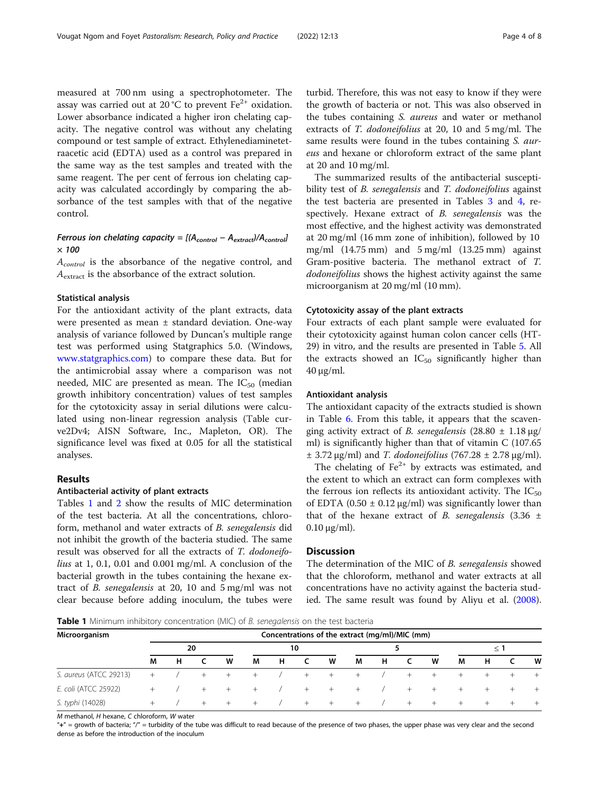measured at 700 nm using a spectrophotometer. The assay was carried out at 20 °C to prevent  $Fe^{2+}$  oxidation. Lower absorbance indicated a higher iron chelating capacity. The negative control was without any chelating compound or test sample of extract. Ethylenediaminetetraacetic acid (EDTA) used as a control was prepared in the same way as the test samples and treated with the same reagent. The per cent of ferrous ion chelating capacity was calculated accordingly by comparing the absorbance of the test samples with that of the negative control.

### Ferrous ion chelating capacity =  $[(A<sub>control</sub> - A<sub>extract</sub>)/A<sub>control</sub>]$  $\times$  100

A<sub>control</sub> is the absorbance of the negative control, and A<sub>extract</sub> is the absorbance of the extract solution.

#### Statistical analysis

For the antioxidant activity of the plant extracts, data were presented as mean ± standard deviation. One-way analysis of variance followed by Duncan's multiple range test was performed using Statgraphics 5.0. (Windows, [www.statgraphics.com\)](http://www.statgraphics.com) to compare these data. But for the antimicrobial assay where a comparison was not needed, MIC are presented as mean. The  $IC_{50}$  (median growth inhibitory concentration) values of test samples for the cytotoxicity assay in serial dilutions were calculated using non-linear regression analysis (Table curve2Dv4; AISN Software, Inc., Mapleton, OR). The significance level was fixed at 0.05 for all the statistical analyses.

#### Results

#### Antibacterial activity of plant extracts

Tables 1 and [2](#page-4-0) show the results of MIC determination of the test bacteria. At all the concentrations, chloroform, methanol and water extracts of B. senegalensis did not inhibit the growth of the bacteria studied. The same result was observed for all the extracts of T. dodoneifolius at 1, 0.1, 0.01 and 0.001 mg/ml. A conclusion of the bacterial growth in the tubes containing the hexane extract of B. senegalensis at 20, 10 and 5 mg/ml was not clear because before adding inoculum, the tubes were

turbid. Therefore, this was not easy to know if they were the growth of bacteria or not. This was also observed in the tubes containing *S. aureus* and water or methanol extracts of T. dodoneifolius at 20, 10 and 5 mg/ml. The same results were found in the tubes containing S. aureus and hexane or chloroform extract of the same plant at 20 and 10 mg/ml.

The summarized results of the antibacterial susceptibility test of *B. senegalensis* and *T. dodoneifolius* against the test bacteria are presented in Tables [3](#page-4-0) and [4,](#page-5-0) respectively. Hexane extract of B. senegalensis was the most effective, and the highest activity was demonstrated at 20 mg/ml (16 mm zone of inhibition), followed by 10 mg/ml  $(14.75 \text{ mm})$  and  $5 \text{ mg/ml}$   $(13.25 \text{ mm})$  against Gram-positive bacteria. The methanol extract of T. dodoneifolius shows the highest activity against the same microorganism at 20 mg/ml (10 mm).

#### Cytotoxicity assay of the plant extracts

Four extracts of each plant sample were evaluated for their cytotoxicity against human colon cancer cells (HT-29) in vitro, and the results are presented in Table [5](#page-5-0). All the extracts showed an  $IC_{50}$  significantly higher than 40 μg/ml.

#### Antioxidant analysis

The antioxidant capacity of the extracts studied is shown in Table [6.](#page-5-0) From this table, it appears that the scavenging activity extract of B. senegalensis  $(28.80 \pm 1.18 \,\mu g$ / ml) is significantly higher than that of vitamin C (107.65  $\pm$  3.72 μg/ml) and *T. dodoneifolius* (767.28  $\pm$  2.78 μg/ml).

The chelating of  $Fe<sup>2+</sup>$  by extracts was estimated, and the extent to which an extract can form complexes with the ferrous ion reflects its antioxidant activity. The  $IC_{50}$ of EDTA (0.50  $\pm$  0.12  $\mu$ g/ml) was significantly lower than that of the hexane extract of B. senegalensis  $(3.36 \pm$  $0.10 \mu$ g/ml).

#### **Discussion**

The determination of the MIC of B. senegalensis showed that the chloroform, methanol and water extracts at all concentrations have no activity against the bacteria studied. The same result was found by Aliyu et al. ([2008](#page-6-0)).

**Table 1** Minimum inhibitory concentration (MIC) of *B. senegalensis* on the test bacteria

| Microorganism          |        |   |     |         |        |   |     |     | Concentrations of the extract (mg/ml)/MIC (mm) |   |        |        |          |        |        |        |
|------------------------|--------|---|-----|---------|--------|---|-----|-----|------------------------------------------------|---|--------|--------|----------|--------|--------|--------|
|                        | 20     |   |     |         | 10     |   |     |     |                                                |   |        |        | $\leq$ 1 |        |        |        |
|                        | М      | н |     | W       | M      | н | C.  | W   | M                                              | н | C.     | W      | М        | н      | C      | W      |
| S. aureus (ATCC 29213) | $+$    |   | $+$ | $+$     | $^{+}$ |   | $+$ | $+$ | $+$                                            |   | $+$    | $+$    |          | $^{+}$ |        |        |
| E. coli (ATCC 25922)   | $^{+}$ |   | $+$ | $+$ $-$ | $+$    |   | $+$ | $+$ | $+$                                            |   | $^{+}$ | $^{+}$ | $^{+}$   | $^{+}$ | $^{+}$ |        |
| S. typhi (14028)       |        |   | $+$ | $^+$    | $^{+}$ |   | $+$ | $+$ | $+$                                            |   | $+$    | $+$    | $+$      | $+$    | $^+$   | $^{+}$ |

M methanol, H hexane, C chloroform, W water

" $+$ " = growth of bacteria; "/" = turbidity of the tube was difficult to read because of the presence of two phases, the upper phase was very clear and the second dense as before the introduction of the inoculum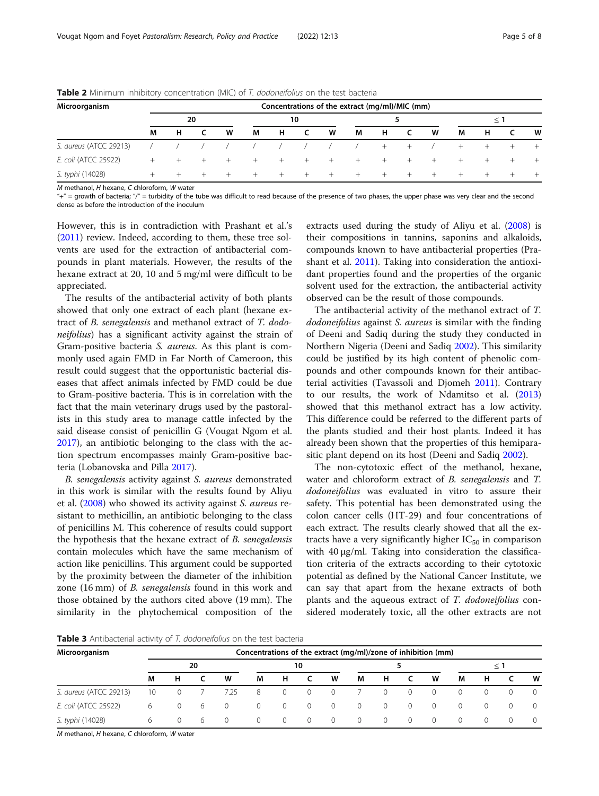| Microorganism          |        |   |     |        |        |        |      | Concentrations of the extract (mg/ml)/MIC (mm) |      |     |     |     |        |        |        |   |
|------------------------|--------|---|-----|--------|--------|--------|------|------------------------------------------------|------|-----|-----|-----|--------|--------|--------|---|
|                        | 20     |   |     |        | 10     |        |      |                                                |      |     |     |     | < 1    |        |        |   |
|                        | М      | н |     | W      | M      | н      | -C   | W                                              | M    | н   | - C | W   | M      | н      |        | W |
| S. aureus (ATCC 29213) |        |   |     |        |        |        |      |                                                |      | $+$ | $+$ |     | $^{+}$ | $^{+}$ |        |   |
| E. coli (ATCC 25922)   | $+$    |   | $+$ | $^{+}$ | $^{+}$ | $^{+}$ | $^+$ | $+$                                            | $+$  | $+$ | $+$ | $+$ | $^{+}$ | $^{+}$ | $^{+}$ |   |
| S. typhi (14028)       | $^{+}$ |   |     | $+$    | $^{+}$ | $^{+}$ | $+$  | $+$                                            | $^+$ | $+$ | $+$ | $+$ | $^{+}$ | $^{+}$ | $+$    |   |

<span id="page-4-0"></span>**Table 2** Minimum inhibitory concentration (MIC) of T. dodoneifolius on the test bacteria

M methanol, H hexane, C chloroform, W water

"+" = growth of bacteria; "/" = turbidity of the tube was difficult to read because of the presence of two phases, the upper phase was very clear and the second dense as before the introduction of the inoculum

However, this is in contradiction with Prashant et al.'s ([2011](#page-7-0)) review. Indeed, according to them, these tree solvents are used for the extraction of antibacterial compounds in plant materials. However, the results of the hexane extract at 20, 10 and 5 mg/ml were difficult to be appreciated.

The results of the antibacterial activity of both plants showed that only one extract of each plant (hexane extract of B. senegalensis and methanol extract of T. dodoneifolius) has a significant activity against the strain of Gram-positive bacteria S. aureus. As this plant is commonly used again FMD in Far North of Cameroon, this result could suggest that the opportunistic bacterial diseases that affect animals infected by FMD could be due to Gram-positive bacteria. This is in correlation with the fact that the main veterinary drugs used by the pastoralists in this study area to manage cattle infected by the said disease consist of penicillin G (Vougat Ngom et al. [2017](#page-7-0)), an antibiotic belonging to the class with the action spectrum encompasses mainly Gram-positive bacteria (Lobanovska and Pilla [2017](#page-7-0)).

B. senegalensis activity against S. aureus demonstrated in this work is similar with the results found by Aliyu et al. ([2008](#page-6-0)) who showed its activity against S. aureus resistant to methicillin, an antibiotic belonging to the class of penicillins M. This coherence of results could support the hypothesis that the hexane extract of B. senegalensis contain molecules which have the same mechanism of action like penicillins. This argument could be supported by the proximity between the diameter of the inhibition zone (16 mm) of B. senegalensis found in this work and those obtained by the authors cited above (19 mm). The similarity in the phytochemical composition of the

extracts used during the study of Aliyu et al. [\(2008\)](#page-6-0) is their compositions in tannins, saponins and alkaloids, compounds known to have antibacterial properties (Prashant et al. [2011\)](#page-7-0). Taking into consideration the antioxidant properties found and the properties of the organic solvent used for the extraction, the antibacterial activity observed can be the result of those compounds.

The antibacterial activity of the methanol extract of T. dodoneifolius against S. aureus is similar with the finding of Deeni and Sadiq during the study they conducted in Northern Nigeria (Deeni and Sadiq [2002](#page-6-0)). This similarity could be justified by its high content of phenolic compounds and other compounds known for their antibacterial activities (Tavassoli and Djomeh [2011](#page-7-0)). Contrary to our results, the work of Ndamitso et al. ([2013](#page-7-0)) showed that this methanol extract has a low activity. This difference could be referred to the different parts of the plants studied and their host plants. Indeed it has already been shown that the properties of this hemiparasitic plant depend on its host (Deeni and Sadiq [2002\)](#page-6-0).

The non-cytotoxic effect of the methanol, hexane, water and chloroform extract of B. senegalensis and T. dodoneifolius was evaluated in vitro to assure their safety. This potential has been demonstrated using the colon cancer cells (HT-29) and four concentrations of each extract. The results clearly showed that all the extracts have a very significantly higher  $IC_{50}$  in comparison with 40 μg/ml. Taking into consideration the classification criteria of the extracts according to their cytotoxic potential as defined by the National Cancer Institute, we can say that apart from the hexane extracts of both plants and the aqueous extract of T. dodoneifolius considered moderately toxic, all the other extracts are not

**Table 3** Antibacterial activity of T. dodoneifolius on the test bacteria

| Microorganism          | Concentrations of the extract (mg/ml)/zone of inhibition (mm) |          |     |                |                |                |                |                |                |                |                |                |          |              |          |                  |
|------------------------|---------------------------------------------------------------|----------|-----|----------------|----------------|----------------|----------------|----------------|----------------|----------------|----------------|----------------|----------|--------------|----------|------------------|
|                        |                                                               | 10       |     |                |                |                |                |                |                | $\leq 1$       |                |                |          |              |          |                  |
|                        | M                                                             | н        |     | W              | М              | н.             |                | W              | М              | Н.             | $\mathsf{C}$   | W              | М        | н            |          | W                |
| S. aureus (ATCC 29213) | 10                                                            | $\circ$  |     | 7.25           | 8              | $\overline{0}$ | $\Omega$       | $\overline{0}$ |                | $\Omega$       | $\Omega$       | $\Omega$       | $\Omega$ | $\Omega$     | 0        |                  |
| E. coli (ATCC 25922)   | 6                                                             | $\circ$  | - 6 | $\overline{0}$ | $\overline{0}$ | $\circ$        | $\overline{0}$ | $\overline{0}$ | $\overline{0}$ | $\overline{0}$ | $\overline{0}$ | $\overline{0}$ | $\Omega$ | $\mathbf{0}$ | $\Omega$ |                  |
| S. typhi (14028)       | 6                                                             | $\Omega$ | - 6 | $\Omega$       | $\Omega$       | $\Omega$       | $\overline{0}$ | $\bigcirc$     | $\overline{0}$ | $\bigcirc$     | $\Omega$       | $\Omega$       | $\Omega$ | $\Omega$     | 0        | $\left( \right)$ |

M methanol, H hexane, C chloroform, W water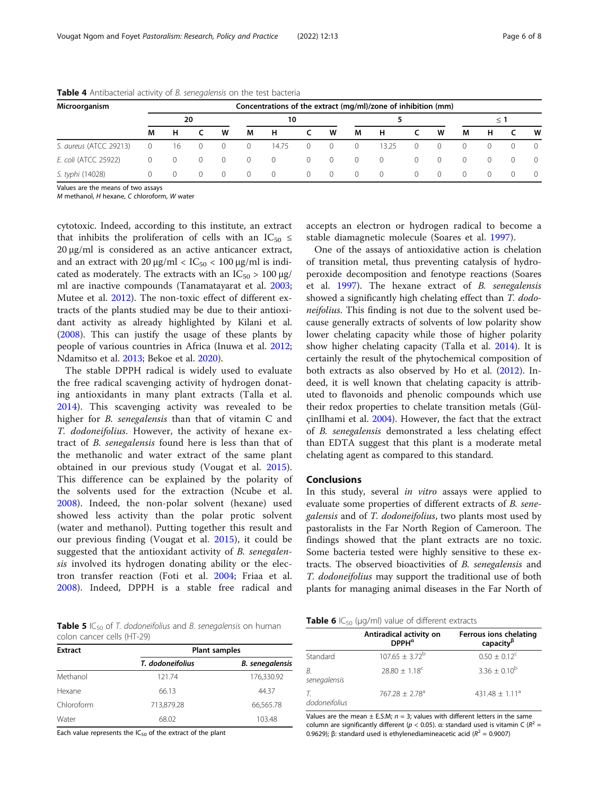| Microorganism          | Concentrations of the extract (mg/ml)/zone of inhibition (mm) |          |                |          |                  |          |                |                |          |          |                  |                  |                  |                  |          |                  |
|------------------------|---------------------------------------------------------------|----------|----------------|----------|------------------|----------|----------------|----------------|----------|----------|------------------|------------------|------------------|------------------|----------|------------------|
|                        | 20                                                            |          |                |          | 10               |          |                |                |          |          |                  |                  | $\leq$ 1         |                  |          |                  |
|                        | М                                                             | н        |                | W        | М                | н        |                | W              | M        | н        |                  | W                | M                | н                |          | W                |
| S. aureus (ATCC 29213) | 0                                                             | 16       | $\overline{0}$ | $\circ$  | $\overline{0}$   | 14.75    | $\overline{0}$ | $\overline{0}$ | $\circ$  | 13.25    |                  | $\left( \right)$ |                  | $\left( \right)$ | $\Omega$ | $\Omega$         |
| E. coli (ATCC 25922)   | 0                                                             | $\circ$  | $\overline{0}$ | $\circ$  | $\Omega$         | $\Omega$ | $\circ$        | $\overline{0}$ | $\circ$  | $\circ$  |                  | $\cup$           | $\Omega$         | $\Omega$         | $\Omega$ | $\left( \right)$ |
| S. typhi (14028)       | $^{(1)}$                                                      | $\Omega$ | $\Omega$       | $\Omega$ | $\left( \right)$ | $\Omega$ | $\overline{0}$ | $\overline{0}$ | $\Omega$ | $\Omega$ | $\left( \right)$ | $\left( \right)$ | $\left( \right)$ | (                | $\Omega$ | $\Omega$         |

<span id="page-5-0"></span>Table 4 Antibacterial activity of B. senegalensis on the test bacteria

Values are the means of two assays

M methanol, H hexane, C chloroform, W water

cytotoxic. Indeed, according to this institute, an extract that inhibits the proliferation of cells with an  $IC_{50} \leq$ 20 μg/ml is considered as an active anticancer extract, and an extract with  $20 \mu g/ml < IC_{50} < 100 \mu g/ml$  is indicated as moderately. The extracts with an  $IC_{50} > 100 \mu g$ / ml are inactive compounds (Tanamatayarat et al. [2003](#page-7-0); Mutee et al. [2012](#page-7-0)). The non-toxic effect of different extracts of the plants studied may be due to their antioxidant activity as already highlighted by Kilani et al. ([2008](#page-7-0)). This can justify the usage of these plants by people of various countries in Africa (Inuwa et al. [2012](#page-6-0); Ndamitso et al. [2013;](#page-7-0) Bekoe et al. [2020\)](#page-6-0).

The stable DPPH radical is widely used to evaluate the free radical scavenging activity of hydrogen donating antioxidants in many plant extracts (Talla et al. [2014\)](#page-7-0). This scavenging activity was revealed to be higher for *B. senegalensis* than that of vitamin C and T. dodoneifolius. However, the activity of hexane extract of B. senegalensis found here is less than that of the methanolic and water extract of the same plant obtained in our previous study (Vougat et al. [2015](#page-7-0)). This difference can be explained by the polarity of the solvents used for the extraction (Ncube et al. [2008\)](#page-7-0). Indeed, the non-polar solvent (hexane) used showed less activity than the polar protic solvent (water and methanol). Putting together this result and our previous finding (Vougat et al. [2015](#page-7-0)), it could be suggested that the antioxidant activity of B. senegalensis involved its hydrogen donating ability or the electron transfer reaction (Foti et al. [2004;](#page-6-0) Friaa et al. [2008\)](#page-6-0). Indeed, DPPH is a stable free radical and accepts an electron or hydrogen radical to become a stable diamagnetic molecule (Soares et al. [1997\)](#page-7-0).

One of the assays of antioxidative action is chelation of transition metal, thus preventing catalysis of hydroperoxide decomposition and fenotype reactions (Soares et al. [1997\)](#page-7-0). The hexane extract of B. senegalensis showed a significantly high chelating effect than T. dodoneifolius. This finding is not due to the solvent used because generally extracts of solvents of low polarity show lower chelating capacity while those of higher polarity show higher chelating capacity (Talla et al. [2014\)](#page-7-0). It is certainly the result of the phytochemical composition of both extracts as also observed by Ho et al. ([2012\)](#page-6-0). Indeed, it is well known that chelating capacity is attributed to flavonoids and phenolic compounds which use their redox properties to chelate transition metals (GülçinIlhami et al. [2004\)](#page-6-0). However, the fact that the extract of B. senegalensis demonstrated a less chelating effect than EDTA suggest that this plant is a moderate metal chelating agent as compared to this standard.

#### Conclusions

In this study, several in vitro assays were applied to evaluate some properties of different extracts of B. senegalensis and of T. dodoneifolius, two plants most used by pastoralists in the Far North Region of Cameroon. The findings showed that the plant extracts are no toxic. Some bacteria tested were highly sensitive to these extracts. The observed bioactivities of B. senegalensis and T. dodoneifolius may support the traditional use of both plants for managing animal diseases in the Far North of

**Table 5** IC<sub>50</sub> of T. dodoneifolius and B. senegalensis on human colon cancer cells (HT-29)

| <b>Extract</b> | <b>Plant samples</b> |                        |  |  |  |  |  |  |  |  |
|----------------|----------------------|------------------------|--|--|--|--|--|--|--|--|
|                | T. dodoneifolius     | <b>B.</b> senegalensis |  |  |  |  |  |  |  |  |
| Methanol       | 121.74               | 176,330.92             |  |  |  |  |  |  |  |  |
| Hexane         | 66.13                | 44.37                  |  |  |  |  |  |  |  |  |
| Chloroform     | 713,879.28           | 66,565.78              |  |  |  |  |  |  |  |  |
| Water          | 68.02                | 103.48                 |  |  |  |  |  |  |  |  |

Each value represents the  $IC_{50}$  of the extract of the plant

| <b>Table 6</b> $IC_{50}$ (µg/ml) value of different extracts |
|--------------------------------------------------------------|
|--------------------------------------------------------------|

|                    | Antiradical activity on<br>$DPPH^{\alpha}$ | Ferrous ions chelating<br>capacity <sup>ß</sup> |
|--------------------|--------------------------------------------|-------------------------------------------------|
| Standard           | $107.65 + 3.72^b$                          | $0.50 + 0.12^{\circ}$                           |
| B.<br>senegalensis | $28.80 + 1.18^c$                           | $3.36 + 0.10^{b}$                               |
| dodoneifolius      | $767.28 + 2.78a$                           | $431.48 + 1.11a$                                |

Values are the mean  $\pm$  E.S.M;  $n = 3$ ; values with different letters in the same column are significantly different ( $p < 0.05$ ). α: standard used is vitamin C ( $R^2 =$ 0.9629); β: standard used is ethylenediamineacetic acid ( $R^2$  = 0.9007)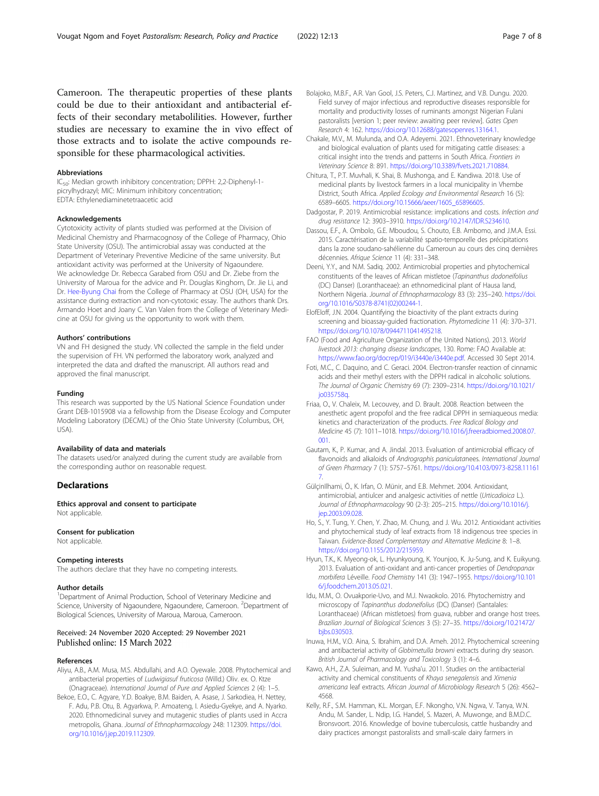#### <span id="page-6-0"></span>Abbreviations

IC50: Median growth inhibitory concentration; DPPH: 2,2-Diphenyl-1 picrylhydrazyl; MIC: Minimum inhibitory concentration; EDTA: Ethylenediaminetetraacetic acid

#### Acknowledgements

Cytotoxicity activity of plants studied was performed at the Division of Medicinal Chemistry and Pharmacognosy of the College of Pharmacy, Ohio State University (OSU). The antimicrobial assay was conducted at the Department of Veterinary Preventive Medicine of the same university. But antioxidant activity was performed at the University of Ngaoundere. We acknowledge Dr. Rebecca Garabed from OSU and Dr. Ziebe from the University of Maroua for the advice and Pr. Douglas Kinghorn, Dr. Jie Li, and Dr. [Hee-Byung Chai](http://www.ncbi.nlm.nih.gov/pubmed/?term=Chai%20HB%5Bauth%5D) from the College of Pharmacy at OSU (OH, USA) for the assistance during extraction and non-cytotoxic essay. The authors thank Drs. Armando Hoet and Joany C. Van Valen from the College of Veterinary Medicine at OSU for giving us the opportunity to work with them.

#### Authors' contributions

VN and FH designed the study. VN collected the sample in the field under the supervision of FH. VN performed the laboratory work, analyzed and interpreted the data and drafted the manuscript. All authors read and approved the final manuscript.

#### Funding

This research was supported by the US National Science Foundation under Grant DEB-1015908 via a fellowship from the Disease Ecology and Computer Modeling Laboratory (DECML) of the Ohio State University (Columbus, OH, USA).

#### Availability of data and materials

The datasets used/or analyzed during the current study are available from the corresponding author on reasonable request.

#### **Declarations**

Ethics approval and consent to participate Not applicable.

#### Consent for publication

Not applicable.

#### Competing interests

The authors declare that they have no competing interests.

#### Author details

<sup>1</sup>Department of Animal Production, School of Veterinary Medicine and Science, University of Ngaoundere, Ngaoundere, Cameroon. <sup>2</sup>Department of Biological Sciences, University of Maroua, Maroua, Cameroon.

# Received: 24 November 2020 Accepted: 29 November 2021

#### References

- Aliyu, A.B., A.M. Musa, M.S. Abdullahi, and A.O. Oyewale. 2008. Phytochemical and antibacterial properties of Ludwigiasuf fruticosa (Willd.) Oliv. ex. O. Ktze (Onagraceae). International Journal of Pure and Applied Sciences 2 (4): 1–5.
- Bekoe, E.O., C. Agyare, Y.D. Boakye, B.M. Baiden, A. Asase, J. Sarkodiea, H. Nettey, F. Adu, P.B. Otu, B. Agyarkwa, P. Amoateng, I. Asiedu-Gyekye, and A. Nyarko. 2020. Ethnomedicinal survey and mutagenic studies of plants used in Accra metropolis, Ghana. Journal of Ethnopharmacology 248: 112309. [https://doi.](https://doi.org/10.1016/j.jep.2019.112309) [org/10.1016/j.jep.2019.112309.](https://doi.org/10.1016/j.jep.2019.112309)
- Bolajoko, M.B.F., A.R. Van Gool, J.S. Peters, C.J. Martinez, and V.B. Dungu. 2020. Field survey of major infectious and reproductive diseases responsible for mortality and productivity losses of ruminants amongst Nigerian Fulani pastoralists [version 1; peer review: awaiting peer review]. Gates Open Research 4: 162. [https://doi.org/10.12688/gatesopenres.13164.1.](https://doi.org/10.12688/gatesopenres.13164.1)
- Chakale, M.V., M. Mulunda, and O.A. Adeyemi. 2021. Ethnoveterinary knowledge and biological evaluation of plants used for mitigating cattle diseases: a critical insight into the trends and patterns in South Africa. Frontiers in Veterinary Science 8: 891. <https://doi.org/10.3389/fvets.2021.710884>.
- Chitura, T., P.T. Muvhali, K. Shai, B. Mushonga, and E. Kandiwa. 2018. Use of medicinal plants by livestock farmers in a local municipality in Vhembe District, South Africa. Applied Ecology and Environmental Research 16 (5): 6589–6605. [https://doi.org/10.15666/aeer/1605\\_65896605.](https://doi.org/10.15666/aeer/1605_65896605)
- Dadgostar, P. 2019. Antimicrobial resistance: implications and costs. Infection and drug resistance 12: 3903–3910. <https://doi.org/10.2147/IDR.S234610>.
- Dassou, E.F., A. Ombolo, G.E. Mboudou, S. Chouto, E.B. Ambomo, and J.M.A. Essi. 2015. Caractérisation de la variabilité spatio-temporelle des précipitations dans la zone soudano-sahélienne du Cameroun au cours des cinq dernières décennies. Afrique Science 11 (4): 331–348.
- Deeni, Y.Y., and N.M. Sadiq. 2002. Antimicrobial properties and phytochemical constituents of the leaves of African mistletoe (Tapinanthus dodoneifolius (DC) Danser) (Loranthaceae): an ethnomedicinal plant of Hausa land, Northern Nigeria. Journal of Ethnopharmacology 83 (3): 235–240. [https://doi.](https://doi.org/10.1016/S0378-8741(02)00244-1) [org/10.1016/S0378-8741\(02\)00244-1.](https://doi.org/10.1016/S0378-8741(02)00244-1)
- ElofEloff, J.N. 2004. Quantifying the bioactivity of the plant extracts during screening and bioassay-guided fractionation. Phytomedicine 11 (4): 370–371. [https://doi.org/10.1078/0944711041495218.](https://doi.org/10.1078/0944711041495218)
- FAO (Food and Agriculture Organization of the United Nations). 2013. World livestock 2013: changing disease landscapes, 130. Rome: FAO Available at: [https://www.fao.org/docrep/019/i3440e/i3440e.pdf.](https://www.fao.org/docrep/019/i3440e/i3440e.pdf) Accessed 30 Sept 2014.
- Foti, M.C., C. Daquino, and C. Geraci. 2004. Electron-transfer reaction of cinnamic acids and their methyl esters with the DPPH radical in alcoholic solutions. The Journal of Organic Chemistry 69 (7): 2309–2314. [https://doi.org/10.1021/](https://doi.org/10.1021/jo035758q) [jo035758q](https://doi.org/10.1021/jo035758q).
- Friaa, O., V. Chaleix, M. Lecouvey, and D. Brault. 2008. Reaction between the anesthetic agent propofol and the free radical DPPH in semiaqueous media: kinetics and characterization of the products. Free Radical Biology and Medicine 45 (7): 1011–1018. [https://doi.org/10.1016/j.freeradbiomed.2008.07.](https://doi.org/10.1016/j.freeradbiomed.2008.07.001) [001.](https://doi.org/10.1016/j.freeradbiomed.2008.07.001)
- Gautam, K., P. Kumar, and A. Jindal. 2013. Evaluation of antimicrobial efficacy of flavonoids and alkaloids of Andrographis paniculatanees. International Journal of Green Pharmacy 7 (1): 5757–5761. [https://doi.org/10.4103/0973-8258.11161](https://doi.org/10.4103/0973-8258.111617) [7](https://doi.org/10.4103/0973-8258.111617).
- GülcinIlhami, Ö., K. Irfan, O. Münir, and E.B. Mehmet. 2004. Antioxidant, antimicrobial, antiulcer and analgesic activities of nettle (Urticadioica L.). Journal of Ethnopharmacology 90 (2-3): 205–215. [https://doi.org/10.1016/j.](https://doi.org/10.1016/j.jep.2003.09.028) [jep.2003.09.028.](https://doi.org/10.1016/j.jep.2003.09.028)
- Ho, S., Y. Tung, Y. Chen, Y. Zhao, M. Chung, and J. Wu. 2012. Antioxidant activities and phytochemical study of leaf extracts from 18 indigenous tree species in Taiwan. Evidence-Based Complementary and Alternative Medicine 8: 1–8. <https://doi.org/10.1155/2012/215959>.
- Hyun, T.K., K. Myeong-ok, L. Hyunkyoung, K. Younjoo, K. Ju-Sung, and K. Euikyung. 2013. Evaluation of anti-oxidant and anti-cancer properties of Dendropanax morbifera Léveille. Food Chemistry 141 (3): 1947–1955. [https://doi.org/10.101](https://doi.org/10.1016/j.foodchem.2013.05.021) [6/j.foodchem.2013.05.021.](https://doi.org/10.1016/j.foodchem.2013.05.021)
- Idu, M.M., O. Ovuakporie-Uvo, and M.J. Nwaokolo. 2016. Phytochemistry and microscopy of Tapinanthus dodoneifolius (DC) (Danser) (Santalales: Loranthaceae) (African mistletoes) from guava, rubber and orange host trees. Brazilian Journal of Biological Sciences 3 (5): 27–35. [https://doi.org/10.21472/](https://doi.org/10.21472/bjbs.030503) [bjbs.030503](https://doi.org/10.21472/bjbs.030503).
- Inuwa, H.M., V.O. Aina, S. Ibrahim, and D.A. Ameh. 2012. Phytochemical screening and antibacterial activity of Globimetulla browni extracts during dry season. British Journal of Pharmacology and Toxicology 3 (1): 4–6.
- Kawo, A.H., Z.A. Suleiman, and M. Yusha'u. 2011. Studies on the antibacterial activity and chemical constituents of Khaya senegalensis and Ximenia americana leaf extracts. African Journal of Microbiology Research 5 (26): 4562– 4568.
- Kelly, R.F., S.M. Hamman, K.L. Morgan, E.F. Nkongho, V.N. Ngwa, V. Tanya, W.N. Andu, M. Sander, L. Ndip, I.G. Handel, S. Mazeri, A. Muwonge, and B.M.D.C. Bronsvoort. 2016. Knowledge of bovine tuberculosis, cattle husbandry and dairy practices amongst pastoralists and small-scale dairy farmers in